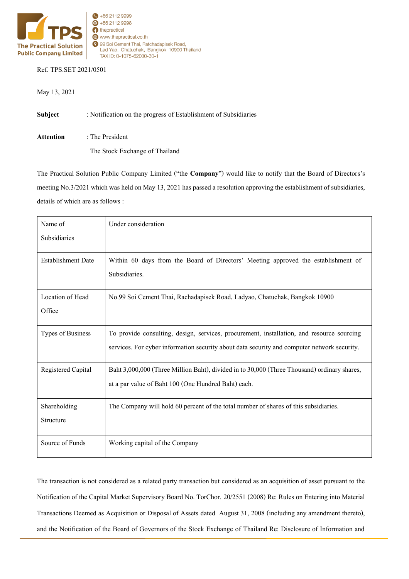

## Ref. TPS.SET 2021/0501

May 13, 2021

**Subject** : Notification on the progress of Establishment of Subsidiaries **Attention** : The President The Stock Exchange of Thailand

The Practical Solution Public Company Limited ("the **Company**") would like to notify that the Board of Directors's meeting No.3/2021 which was held on May 13, 2021 has passed a resolution approving the establishment of subsidiaries, details of which are as follows :

| Name of                   | Under consideration                                                                         |
|---------------------------|---------------------------------------------------------------------------------------------|
| Subsidiaries              |                                                                                             |
| <b>Establishment Date</b> | Within 60 days from the Board of Directors' Meeting approved the establishment of           |
|                           | Subsidiaries.                                                                               |
| Location of Head          | No.99 Soi Cement Thai, Rachadapisek Road, Ladyao, Chatuchak, Bangkok 10900                  |
| Office                    |                                                                                             |
| Types of Business         | To provide consulting, design, services, procurement, installation, and resource sourcing   |
|                           | services. For cyber information security about data security and computer network security. |
| Registered Capital        | Baht 3,000,000 (Three Million Baht), divided in to 30,000 (Three Thousand) ordinary shares, |
|                           | at a par value of Baht 100 (One Hundred Baht) each.                                         |
| Shareholding              | The Company will hold 60 percent of the total number of shares of this subsidiaries.        |
| Structure                 |                                                                                             |
| Source of Funds           | Working capital of the Company                                                              |

The transaction is not considered as a related party transaction but considered as an acquisition of asset pursuant to the Notification of the Capital Market Supervisory Board No. TorChor. 20/2551 (2008) Re: Rules on Entering into Material Transactions Deemed as Acquisition or Disposal of Assets dated August 31, 2008 (including any amendment thereto), and the Notification of the Board of Governors of the Stock Exchange of Thailand Re: Disclosure of Information and